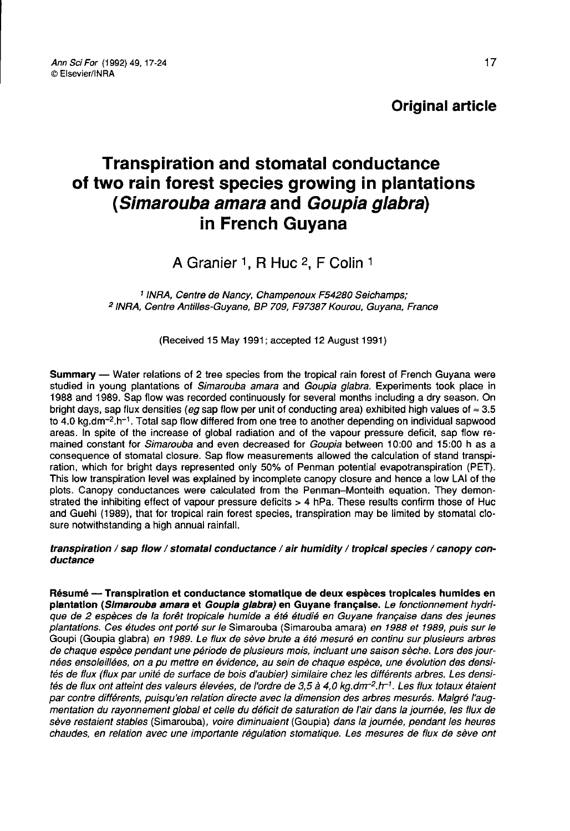Original article

# Transpiration and stomatal conductance of two rain forest species growing in plantations (Simarouba amara and Goupia glabra) in French Guyana

## A Granier 1, R Huc 2, F Colin 1

<sup>1</sup> INRA, Centre de Nancy, Champenoux F54280 Seichamps; <sup>2</sup> INRA, Centre Antilles-Guyane, BP 709, F97387 Kourou, Guyana, France

(Received 15 May 1991; accepted 12 August 1991)

Summary — Water relations of 2 tree species from the tropical rain forest of French Guyana were studied in young plantations of *Simarouba amara* and *Goupia glabra.* Experiments took place in 1988 and 1989. Sap flow was recorded continuously for several months including a dry season. On bright days, sap flux densities (eg sap flow per unit of conducting area) exhibited high values of ≈ 3.5<br>to 4.0 kg.dm<sup>-2</sup>.h<sup>-1</sup>. Total sap flow differed from one tree to another depending on individual sapwood **Summary** — Water relations of 2 tree species from the tropical rain forest of French Guyana were studied in young plantations of *Simarouba amara* and *Goupia glabra*. Experiments took place in 1988 and 1989. Sap flow wa mained constant for Simarouba and even decreased for Goupia between 10:00 and 15:00 h as a consequence of stomatal closure. Sap flow measurements allowed the calculation of stand transpiration, which for bright days represented only 50% of Penman potential evapotranspiration (PET). This low transpiration level was explained by incomplete canopy closure and hence a low LAI of the plots. Canopy conductances were calculated from the Penman-Monteith equation. They demonstrated the inhibiting effect of vapour pressure deficits > 4 hPa. These results confirm those of Huc and Guehl (1989), that for tropical rain forest species, transpiration may be limited by stomatal closure notwithstanding a high annual rainfall.

#### transpiration / sap flow / stomatal conductance / air humidity / tropical species / canopy conductance

Résumé — Transpiration et conductance stomatique de deux espèces tropicales humides en plantation (Slmarouba amara et Goupla glabra) en Guyane française. Le fonctionnement hydrique de 2 espèces de la forêt tropicale humide a été étudié en Guyane française dans des jeunes plantations. Ces études ont porté sur le Simarouba (Simarouba amara) en 1988 et 1989, puis sur le Goupi (Goupia glabra) en 1989. Le flux de sève brute a été mesuré en continu sur plusieurs arbres de chaque espèce pendant une période de plusieurs mois, incluant une saison sèche. Lors des journées ensoleillées, on a pu mettre en évidence, au sein de chaque espèce, une évolution des densités de flux (flux par unité de surface de bois d'aubier) similaire chez les différents arbres. Les densi-<br>tés de flux ont atteint des valeurs élevées, de l'ordre de 3,5 à 4,0 kg.dm<sup>-2</sup>.h<sup>-1</sup>. Les flux totaux étaient plantations. Ces études ont porté sur le Simarouba (Simarouba amara) en 1988 et 1989, puis sur le<br>Goupi (Goupia glabra) en 1989. Le flux de sève brute a été mesuré en continu sur plusieurs arbres<br>de chaque espèce pendant u par contre différents, puisqu'en relation directe avec la dimension des arbres mesurés. Malgré l'augmentation du rayonnement global et celle du déficit de saturation de l'air dans la journée, les flux de sève restaient stables (Simarouba), voire diminuaient (Goupia) dans la journée, pendant les heures chaudes, en relation avec une importante régulation stomatique. Les mesures de flux de sève ont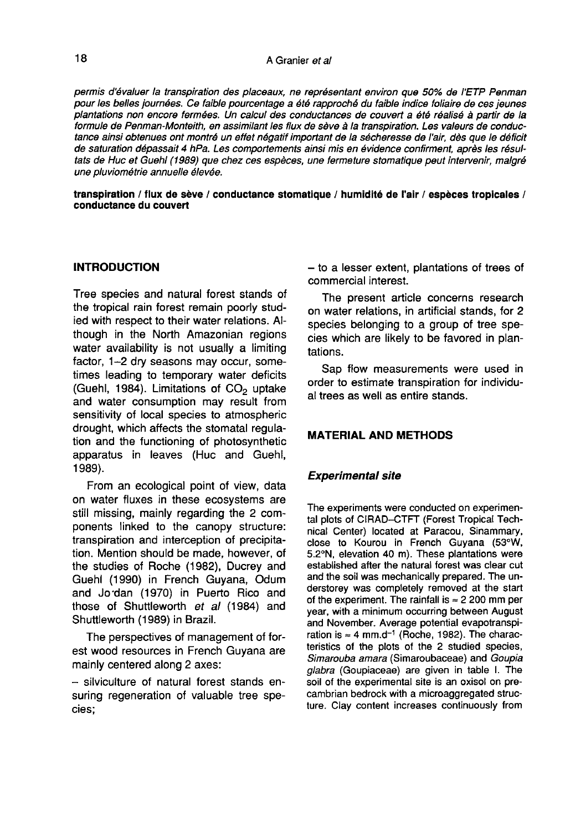#### A Granier et al

permis d'évaluer la transpiration des placeaux, ne représentant environ que 50% de l'ETP Penman pour les belles journées. Ce faible pourcentage a été rapproché du faible indice foliaire de ces jeunes plantations non encore fermées. Un calcul des conductances de couvert a été réalisé à partir de la formule de Penman-Monteith, en assimilant les flux de sève à la transpiration. Les valeurs de conductance ainsi obtenues ont montré un effet négatif important de la sécheresse de l'air, dès que le déficit de saturation dépassait 4 hPa. Les comportements ainsi mis en évidence confirment, après les résultats de Huc et Guehl (1989) que chez ces espèces, une fermeture stomatique peut intervenir, malgré une pluviométrie annuelle élevée.

transpiration / flux de sève / conductance stomatique / humidité de l'air / espèces tropicales / conductance du couvert

#### INTRODUCTION

Tree species and natural forest stands of the tropical rain forest remain poorly studied with respect to their water relations. Although in the North Amazonian regions water availability is not usually a limiting factor, 1-2 dry seasons may occur, sometimes leading to temporary water deficits<br>(Guehl, 1984). Limitations of  $CO<sub>2</sub>$  uptake and water consumption may result from sensitivity of local species to atmospheric drought, which affects the stomatal regulation and the functioning of photosynthetic apparatus in leaves (Huc and Guehl, 1989).

From an ecological point of view, data on water fluxes in these ecosystems are still missing, mainly regarding the 2 components linked to the canopy structure: transpiration and interception of precipitation. Mention should be made, however, of the studies of Roche (1982), Ducrey and Guehl (1990) in French Guyana, Odum and Jo dan (1970) in Puerto Rico and those of Shuttleworth et al (1984) and Shuttleworth (1989) in Brazil.

The perspectives of management of forest wood resources in French Guyana are mainly centered along 2 axes:

- silviculture of natural forest stands ensuring regeneration of valuable tree species;

- to a lesser extent, plantations of trees of commercial interest.

The present article concerns research on water relations, in artificial stands, for 2 species belonging to a group of tree species which are likely to be favored in plantations.

Sap flow measurements were used in order to estimate transpiration for individual trees as well as entire stands.

#### MATERIAL AND METHODS

#### Experimental site

The experiments were conducted on experimental plots of CIRAD-CTFT (Forest Tropical Technical Center) located at Paracou, Sinammary, close to Kourou in French Guyana (53°W, 5.2°N, elevation 40 m). These plantations were established after the natural forest was clear cut and the soil was mechanically prepared. The understorey was completely removed at the start of the experiment. The rainfall is  $\approx 2200$  mm per year, with a minimum occurring between August and November. Average potential evapotranspiration is  $\approx 4$  mm.d<sup>-1</sup> (Roche, 1982). The characteristics of the plots of the 2 studied species, Simarouba amara (Simaroubaceae) and Goupia glabra (Goupiaceae) are given in table I. The soil of the experimental site is an oxisol on precambrian bedrock with a microaggregated structure. Clay content increases continuously from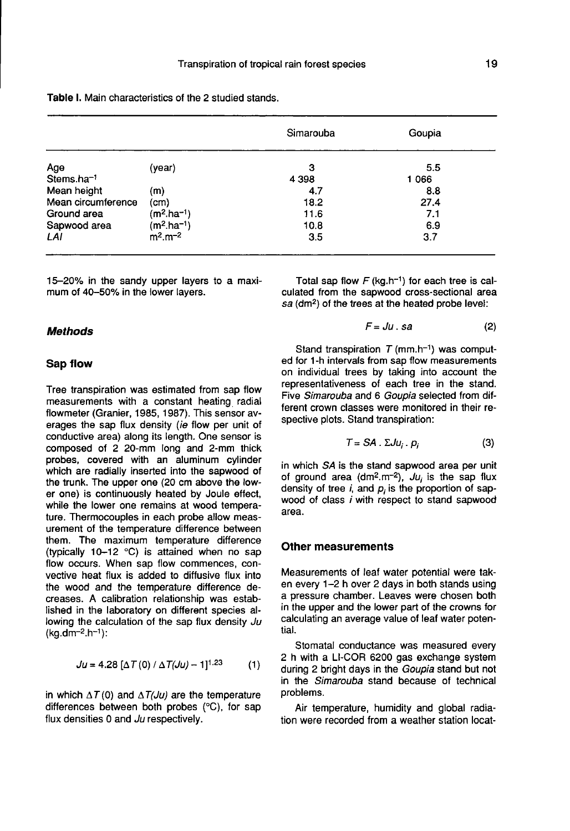|                        |              | Simarouba | Goupia |
|------------------------|--------------|-----------|--------|
| Age                    | (year)       | з         | 5.5    |
| Stems.ha <sup>-1</sup> |              | 4 3 9 8   | 1066   |
| Mean height            | (m)          | 4.7       | 8.8    |
| Mean circumference     | (cm)         | 18.2      | 27.4   |
| Ground area            | $(m2.ha-1)$  | 11.6      | 7.1    |
| Sapwood area           | $(m2.ha-1)$  | 10.8      | 6.9    |
| LAI                    | $m^2.m^{-2}$ | 3.5       | 3.7    |

Table I. Main characteristics of the 2 studied stands.

15-20% in the sandy upper layers to a maximum of 40-50% in the lower layers.

#### Methods

#### Sap flow

Tree transpiration was estimated from sap flow measurements with a constant heating radial flowmeter (Granier, 1985, 1987). This sensor averages the sap flux density (ie flow per unit of conductive area) along its length. One sensor is composed of 2 20-mm long and 2-mm thick probes, covered with an aluminum cylinder which are radially inserted into the sapwood of the trunk. The upper one (20 cm above the lower one) is continuously heated by Joule effect, while the lower one remains at wood tempera ture. Thermocouples in each probe allow measurement of the temperature difference between them. The maximum temperature difference (typically 10-12 °C) is attained when no sap flow occurs. When sap flow commences, convective heat flux is added to diffusive flux into the wood and the temperature difference decreases. A calibration relationship was established in the laboratory on different species allowing the calculation of the sap flux density Ju  $(kg.dm^{-2}.h^{-1})$ :

$$
Ju = 4.28 [\Delta T(0) / \Delta T(Ju) - 1]^{1.23}
$$
 (1)

in which  $\Delta T(0)$  and  $\Delta T(Ju)$  are the temperature differences between both probes (°C), for sap flux densities 0 and Ju respectively.

Total sap flow  $F$  (kg.h<sup>-1</sup>) for each tree is calculated from the sapwood cross-sectional area Total sap flow  $F$  (kg.h<sup>-1</sup>) for each tree is collated from the sapwood cross-sectional are sa (dm<sup>2</sup>) of the trees at the heated probe level:

$$
F = Ju \cdot sa \tag{2}
$$

Stand transpiration T (mm.h<sup>-1</sup>) was comput-<br>Stand transpiration  $T$  (mm.h<sup>-1</sup>) was comput-<br> $F = Ju$ . sa (2)<br>Stand transpiration  $T$  (mm.h<sup>-1</sup>) was comput-<br>for 1-h intervals from sap flow measurements ed for 1-h intervals from sap flow measurements on individual trees by taking into account the representativeness of each tree in the stand. Five Simarouba and 6 Goupia selected from different crown classes were monitored in their respective plots. Stand transpiration:

$$
T = SA \cdot \Sigma J u_i \cdot p_i \tag{3}
$$

in which SA is the stand sapwood area per unit of ground area (dm<sup>2</sup>.m<sup>-2</sup>),  $Ju_i$  is the sap flux density of tree  $i$ , and  $p_i$  is the proportion of sapwood of class i with respect to stand sapwood area.

#### Other measurements

Measurements of leaf water potential were taken every 1-2 h over 2 days in both stands using a pressure chamber. Leaves were chosen both in the upper and the lower part of the crowns for calculating an average value of leaf water potential.

Stomatal conductance was measured every 2 h with a LI-COR 6200 gas exchange system during 2 bright days in the Goupia stand but not in the Simarouba stand because of technical problems.

Air temperature, humidity and global radiation were recorded from a weather station locat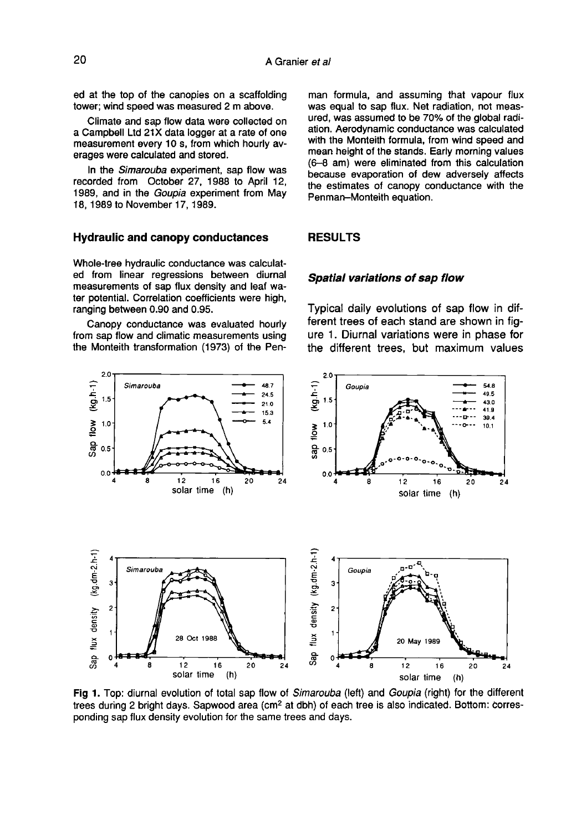20

ed at the top of the canopies on a scaffolding tower; wind speed was measured 2 m above.

Climate and sap flow data were collected on a Campbell Ltd 21X data logger at a rate of one measurement every 10 s, from which hourly averages were calculated and stored.

In the Simarouba experiment, sap flow was recorded from October 27, 1988 to April 12, 1989, and in the Goupia experiment from May 18, 1989 to November 17, 1989.

#### Hydraulic and canopy conductances

Whole-tree hydraulic conductance was calculated from linear regressions between diurnal measurements of sap flux density and leaf water potential. Correlation coefficients were high, ranging between 0.90 and 0.95.

Canopy conductance was evaluated hourly from sap flow and climatic measurements using the Monteith transformation (1973) of the Pen-

 $2<sub>c</sub>$  $(kg.h-1)$ Simarouba 48.7 24.5  $1.5$  $21.0$  $15.3$ Sap flow

 $12$ 

16

solar time (h)

20

 $1.0$ 

 $0.5$  $0.0 +$ 

8

man formula, and assuming that vapour flux was equal to sap flux. Net radiation, not measured, was assumed to be 70% of the global radiation. Aerodynamic conductance was calculated with the Monteith formula, from wind speed and mean height of the stands. Early morning values (6-8 am) were eliminated from this calculation because evaporation of dew adversely affects the estimates of canopy conductance with the Penman-Monteith equation.

#### RESULTS

#### Spatial variations of sap flow

Typical daily evolutions of sap flow in different trees of each stand are shown in fig ure 1. Diurnal variations were in phase for the different trees, but maximum values





Fig 1. Top: diurnal evolution of total sap flow of Simarouba (left) and Goupia (right) for the different trees during 2 bright days. Sapwood area (cm<sup>2</sup> at dbh) of each tree is also indicated. Bottom: corresponding sap flux density evolution for the same trees and days.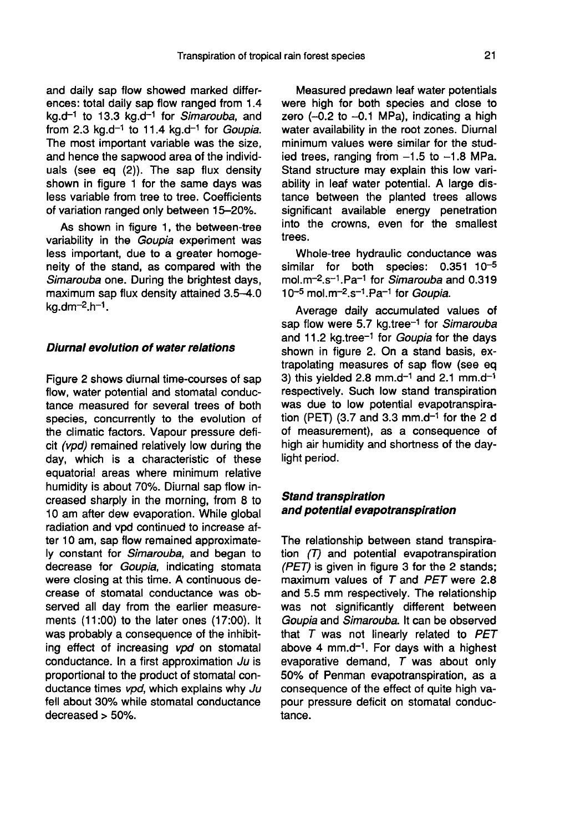and daily sap flow showed marked differences: total daily sap flow ranged from 1.4 kg.d<sup>-1</sup> to 13.3 kg.d<sup>-1</sup> for Simarouba, and from 2.3 kg.d<sup>-1</sup> to 11.4 kg.d<sup>-1</sup> for *Goupia*. The most important variable was the size, and hence the sapwood area of the individuals (see eq (2)). The sap flux density shown in figure 1 for the same days was less variable from tree to tree. Coefficients of variation ranged only between 15-20%.

As shown in figure 1, the between-tree variability in the Goupia experiment was less important, due to a greater homogeneity of the stand, as compared with the *Simarouba* one. During the brightest days,<br>maximum sap flux density attained 3.5–4.0<br>kg.dm<sup>–2</sup>.h<sup>–1</sup>. maximum sap flux density attained  $3.5-4.0$  kg.dm<sup>-2</sup>.h<sup>-1</sup>.

#### Diurnal evolution of water relations

Figure 2 shows diurnal time-courses of sap flow, water potential and stomatal conductance measured for several trees of both species, concurrently to the evolution of the climatic factors. Vapour pressure deficit (vpd) remained relatively low during the day, which is a characteristic of these equatorial areas where minimum relative humidity is about 70%. Diurnal sap flow increased sharply in the morning, from 8 to 10 am after dew evaporation. While global radiation and vpd continued to increase after 10 am, sap flow remained approximately constant for Simarouba, and began to decrease for Goupia, indicating stomata were closing at this time. A continuous decrease of stomatal conductance was observed all day from the earlier measurements (11:00) to the later ones (17:00). It was probably a consequence of the inhibiting effect of increasing vpd on stomatal conductance. In a first approximation Ju is proportional to the product of stomatal conductance times vpd, which explains why Ju fell about 30% while stomatal conductance decreased > 50%.

Measured predawn leaf water potentials were high for both species and close to zero  $(-0.2$  to  $-0.1$  MPa), indicating a high water availability in the root zones. Diurnal minimum values were similar for the studied trees, ranging from  $-1.5$  to  $-1.8$  MPa. Stand structure may explain this low variability in leaf water potential. A large distance between the planted trees allows significant available energy penetration into the crowns, even for the smallest trees.

Whole-tree hydraulic conductance was similar for both species: 0.351 10<sup>-5</sup> trees.<br>Whole-tree hydraulic conductance was<br>similar for both species: 0.351 10<sup>-5</sup><br>mol.m<sup>-2</sup>.s<sup>-1</sup>.Pa<sup>-1</sup> for *Simarouba* and 0.319<br>10<sup>-5</sup> mol.m<sup>-2</sup>.s<sup>-1</sup>.Pa<sup>-1</sup> for *Goupia*. Whole-tree hydraulic conducts<br>similar for both species: 0.<br>mol.m<sup>-2</sup>.s<sup>-1</sup>.Pa<sup>-1</sup> for *Simarouba* a<br>10<sup>-5</sup> mol.m<sup>-2</sup>.s<sup>-1</sup>.Pa<sup>-1</sup> for *Goupia*.

Average daily accumulated values of Average daily accumulated values of<br>sap flow were 5.7 kg.tree<sup>-1</sup> for Simarouba sap flow were 5.7 kg.tree<sup>-1</sup> for *Simarouba*<br>and 11.2 kg.tree<sup>-1</sup> for *Goupia* for the days shown in figure 2. On a stand basis, extrapolating measures of sap flow (see eq<br>3) this yielded 2.8 mm.d<sup>-1</sup> and 2.1 mm.d<sup>-1</sup> respectively. Such low stand transpiration was due to low potential evapotranspiration (PET) (3.7 and 3.3 mm.d<sup>-1</sup> for the 2 d of measurement), as a consequence of high air humidity and shortness of the daylight period.

### Stand transpiration and potential evapotranspiration

The relationship between stand transpiration (T) and potential evapotranspiration (PET) is given in figure 3 for the 2 stands; maximum values of  $T$  and  $PET$  were 2.8 and 5.5 mm respectively. The relationship was not significantly different between<br>Goupia and Simarouba. It can be observed<br>that T was not linearly related to PET<br>above 4 mm.d<sup>-1</sup>. For days with a highest<br>evaporative demand. T was about only Goupia and Simarouba. It can be observed that  $T$  was not linearly related to  $PET$  above 4 mm.d<sup>-1</sup>. For days with a highest evaporative demand,  $T$  was about only 50% of Penman evapotranspiration, as a consequence of the effect of quite high vapour pressure deficit on stomatal conductance.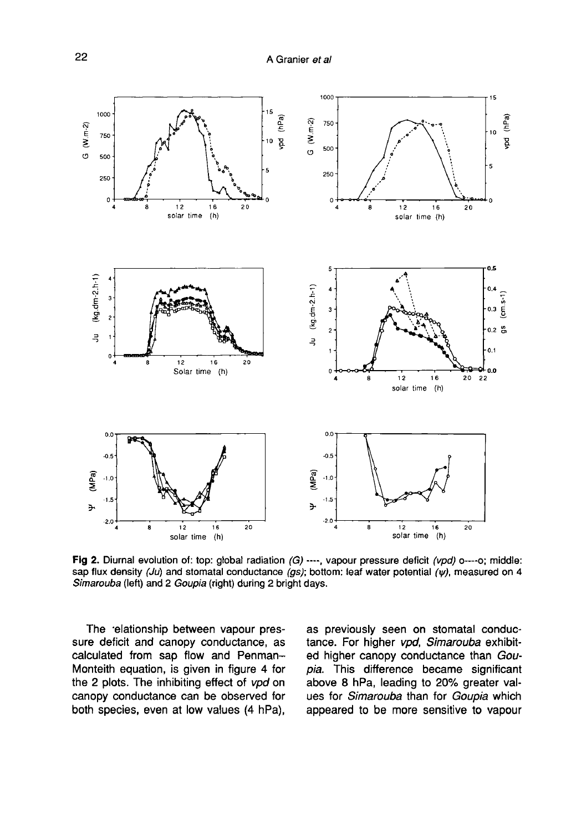

Fig 2. Diurnal evolution of: top: global radiation  $(G)$  ----, vapour pressure deficit (vpd) o----o; middle: sap flux density (Ju) and stomatal conductance (gs); bottom: leaf water potential ( $\psi$ ), measured on 4 Simarouba (left) and 2 Goupia (right) during 2 bright days.

The relationship between vapour pressure deficit and canopy conductance, as calculated from sap flow and Penman-Monteith equation, is given in figure 4 for the 2 plots. The inhibiting effect of vpd on canopy conductance can be observed for both species, even at low values (4 hPa), as previously seen on stomatal conductance. For higher vpd, Simarouba exhibited higher canopy conductance than Goupia. This difference became significant above 8 hPa, leading to 20% greater values for Simarouba than for Goupia which appeared to be more sensitive to vapour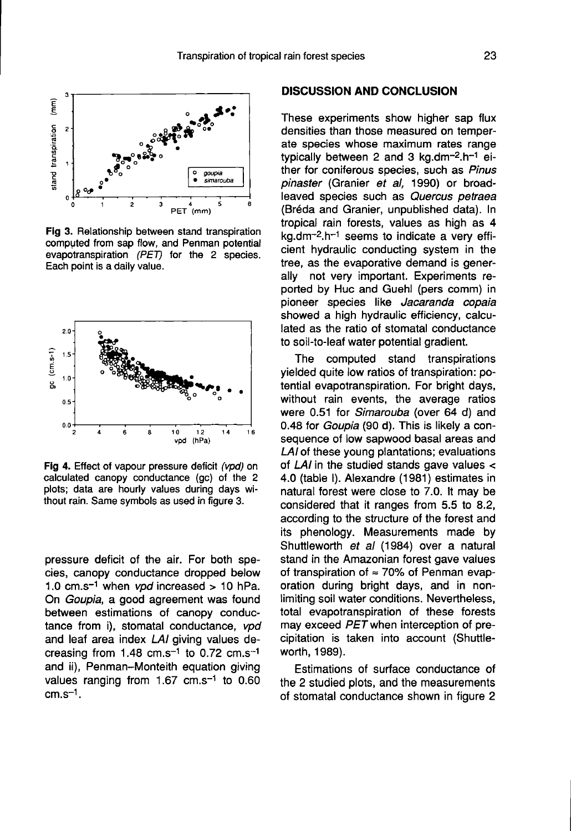

Fig 3. Relationship between stand transpiration computed from sap flow, and Penman potential evapotranspiration (PET) for the 2 species. Each point is a daily value.



Fig 4. Effect of vapour pressure deficit (vpd) on calculated canopy conductance (gc) of the 2 plots; data are hourly values during days without rain. Same symbols as used in figure 3.

pressure deficit of the air. For both species, canopy conductance dropped below 1.0 cm.s<sup>-1</sup> when *vpd* increased  $> 10$  hPa. On Goupia, a good agreement was found between estimations of canopy conductance from i), stomatal conductance, vpd and leaf area index LAI giving values decreasing from  $1.48 \text{ cm.s}^{-1}$  to 0.72 cm.s<sup>-1</sup> and ii), Penman-Monteith equation giving values ranging from 1.67 cm.s<sup>-1</sup> to 0.60 cm.s<sup>-1</sup>. creasin<br>and ii),<br>values<br>cm.s<sup>-1</sup>.

#### DISCUSSION AND CONCLUSION

These experiments show higher sap flux densities than those measured on temperate species whose maximum rates range typically between 2 and 3 kg.dm $-2.$ h $-1$ either for coniferous species, such as Pinus pinaster (Granier et al, 1990) or broadleaved species such as Quercus petraea (Bréda and Granier, unpublished data). In tropical rain forests, values as high as 4 (Bréda and Granier, unpublished data). In<br>tropical rain forests, values as high as 4<br>kg.dm<sup>-2</sup>.h<sup>-1</sup> seems to indicate a very effi-<br>cient hydraulic conducting system in the cient hydraulic conducting system in the tree, as the evaporative demand is generally not very important. Experiments reported by Huc and Guehl (pers comm) in pioneer species like Jacaranda copaia showed a high hydraulic efficiency, calculated as the ratio of stomatal conductance to soil-to-leaf water potential gradient.

The computed stand transpirations yielded quite low ratios of transpiration: potential evapotranspiration. For bright days, without rain events, the average ratios were 0.51 for Simarouba (over 64 d) and 0.48 for Goupia (90 d). This is likely a consequence of low sapwood basal areas and LAI of these young plantations; evaluations of LAI in the studied stands gave values < 4.0 (table I). Alexandre (1981) estimates in natural forest were close to 7.0. It may be considered that it ranges from 5.5 to 8.2, according to the structure of the forest and its phenology. Measurements made by Shuttleworth et al (1984) over a natural stand in the Amazonian forest gave values of transpiration of  $\approx$  70% of Penman evaporation during bright days, and in nonlimiting soil water conditions. Nevertheless, total evapotranspiration of these forests may exceed PET when interception of precipitation is taken into account (Shuttleworth, 1989).

Estimations of surface conductance of the 2 studied plots, and the measurements of stomatal conductance shown in figure 2